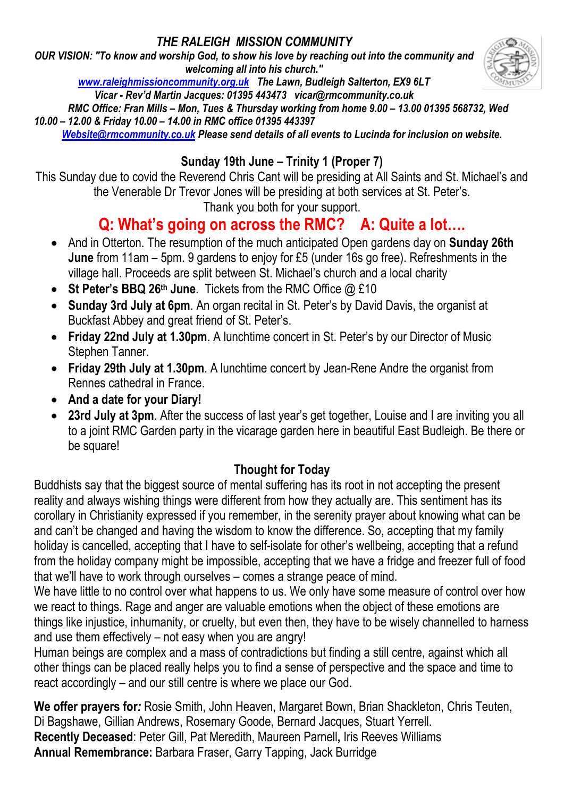## *THE RALEIGH MISSION COMMUNITY*

*OUR VISION: "To know and worship God, to show his love by reaching out into the community and welcoming all into his church."*



 *RMC Office: Fran Mills – Mon, Tues & Thursday working from home 9.00 – 13.00 01395 568732, Wed 10.00 – 12.00 & Friday 10.00 – 14.00 in RMC office 01395 443397*

*[Website@rmcommunity.co.uk](mailto:Website@rmcommunity.co.uk) Please send details of all events to Lucinda for inclusion on website.*

## **Sunday 19th June – Trinity 1 (Proper 7)**

This Sunday due to covid the Reverend Chris Cant will be presiding at All Saints and St. Michael's and the Venerable Dr Trevor Jones will be presiding at both services at St. Peter's.

Thank you both for your support.

# **Q: What's going on across the RMC? A: Quite a lot….**

- And in Otterton. The resumption of the much anticipated Open gardens day on **Sunday 26th June** from 11am – 5pm. 9 gardens to enjoy for £5 (under 16s go free). Refreshments in the village hall. Proceeds are split between St. Michael's church and a local charity
- **St Peter's BBQ 26th June**. Tickets from the RMC Office @ £10
- **Sunday 3rd July at 6pm**. An organ recital in St. Peter's by David Davis, the organist at Buckfast Abbey and great friend of St. Peter's.
- **Friday 22nd July at 1.30pm**. A lunchtime concert in St. Peter's by our Director of Music Stephen Tanner.
- **Friday 29th July at 1.30pm**. A lunchtime concert by Jean-Rene Andre the organist from Rennes cathedral in France.
- **And a date for your Diary!**
- **23rd July at 3pm**. After the success of last year's get together, Louise and I are inviting you all to a joint RMC Garden party in the vicarage garden here in beautiful East Budleigh. Be there or be square!

## **Thought for Today**

Buddhists say that the biggest source of mental suffering has its root in not accepting the present reality and always wishing things were different from how they actually are. This sentiment has its corollary in Christianity expressed if you remember, in the serenity prayer about knowing what can be and can't be changed and having the wisdom to know the difference. So, accepting that my family holiday is cancelled, accepting that I have to self-isolate for other's wellbeing, accepting that a refund from the holiday company might be impossible, accepting that we have a fridge and freezer full of food that we'll have to work through ourselves – comes a strange peace of mind.

We have little to no control over what happens to us. We only have some measure of control over how we react to things. Rage and anger are valuable emotions when the object of these emotions are things like injustice, inhumanity, or cruelty, but even then, they have to be wisely channelled to harness and use them effectively – not easy when you are angry!

Human beings are complex and a mass of contradictions but finding a still centre, against which all other things can be placed really helps you to find a sense of perspective and the space and time to react accordingly – and our still centre is where we place our God.

**We offer prayers for***:* Rosie Smith, John Heaven, Margaret Bown, Brian Shackleton, Chris Teuten, Di Bagshawe, Gillian Andrews, Rosemary Goode, Bernard Jacques, Stuart Yerrell. **Recently Deceased**: Peter Gill, Pat Meredith, Maureen Parnell**,** Iris Reeves Williams **Annual Remembrance:** Barbara Fraser, Garry Tapping, Jack Burridge

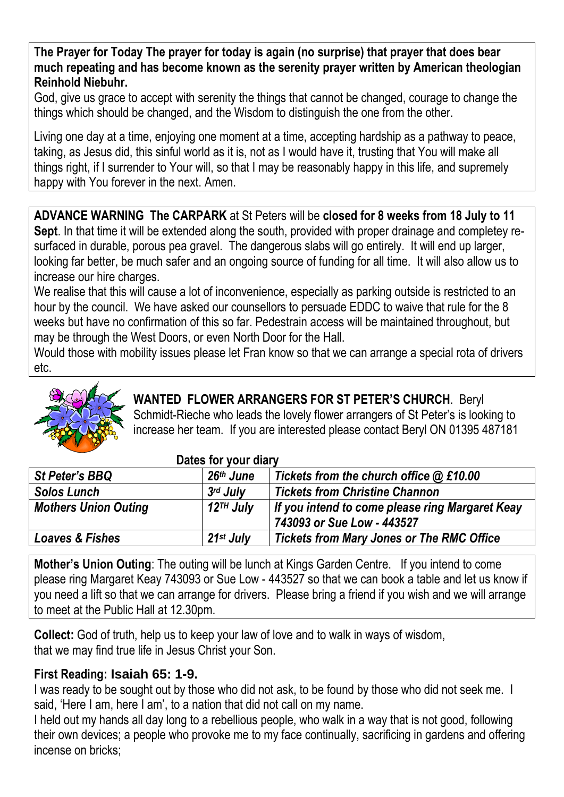**The Prayer for Today The prayer for today is again (no surprise) that prayer that does bear much repeating and has become known as the serenity prayer written by American theologian Reinhold Niebuhr.**

God, give us grace to accept with serenity the things that cannot be changed, courage to change the things which should be changed, and the Wisdom to distinguish the one from the other.

Living one day at a time, enjoying one moment at a time, accepting hardship as a pathway to peace, taking, as Jesus did, this sinful world as it is, not as I would have it, trusting that You will make all things right, if I surrender to Your will, so that I may be reasonably happy in this life, and supremely happy with You forever in the next. Amen.

**ADVANCE WARNING The CARPARK** at St Peters will be **closed for 8 weeks from 18 July to 11 Sept**. In that time it will be extended along the south, provided with proper drainage and completey resurfaced in durable, porous pea gravel. The dangerous slabs will go entirely. It will end up larger, looking far better, be much safer and an ongoing source of funding for all time. It will also allow us to increase our hire charges.

We realise that this will cause a lot of inconvenience, especially as parking outside is restricted to an hour by the council. We have asked our counsellors to persuade EDDC to waive that rule for the 8 weeks but have no confirmation of this so far. Pedestrain access will be maintained throughout, but may be through the West Doors, or even North Door for the Hall.

Would those with mobility issues please let Fran know so that we can arrange a special rota of drivers etc.



# **WANTED FLOWER ARRANGERS FOR ST PETER'S CHURCH**. Beryl

Schmidt-Rieche who leads the lovely flower arrangers of St Peter's is looking to increase her team. If you are interested please contact Beryl ON 01395 487181

| St Peter's BBQ              | $26th$ June           | Tickets from the church office $@$ £10.00       |
|-----------------------------|-----------------------|-------------------------------------------------|
| <b>Solos Lunch</b>          | $3rd$ July            | <b>Tickets from Christine Channon</b>           |
| <b>Mothers Union Outing</b> | 12 <sup>TH</sup> July | If you intend to come please ring Margaret Keay |
|                             |                       | 743093 or Sue Low - 443527                      |
| Loaves & Fishes             | 21st July             | Tickets from Mary Jones or The RMC Office       |

#### **Dates for your diary**

**Mother's Union Outing**: The outing will be lunch at Kings Garden Centre. If you intend to come please ring Margaret Keay 743093 or Sue Low - 443527 so that we can book a table and let us know if you need a lift so that we can arrange for drivers. Please bring a friend if you wish and we will arrange to meet at the Public Hall at 12.30pm.

**Collect:** God of truth, help us to keep your law of love and to walk in ways of wisdom, that we may find true life in Jesus Christ your Son.

#### **First Reading: Isaiah 65: 1-9.**

I was ready to be sought out by those who did not ask, to be found by those who did not seek me. I said, 'Here I am, here I am', to a nation that did not call on my name.

I held out my hands all day long to a rebellious people, who walk in a way that is not good, following their own devices; a people who provoke me to my face continually, sacrificing in gardens and offering incense on bricks;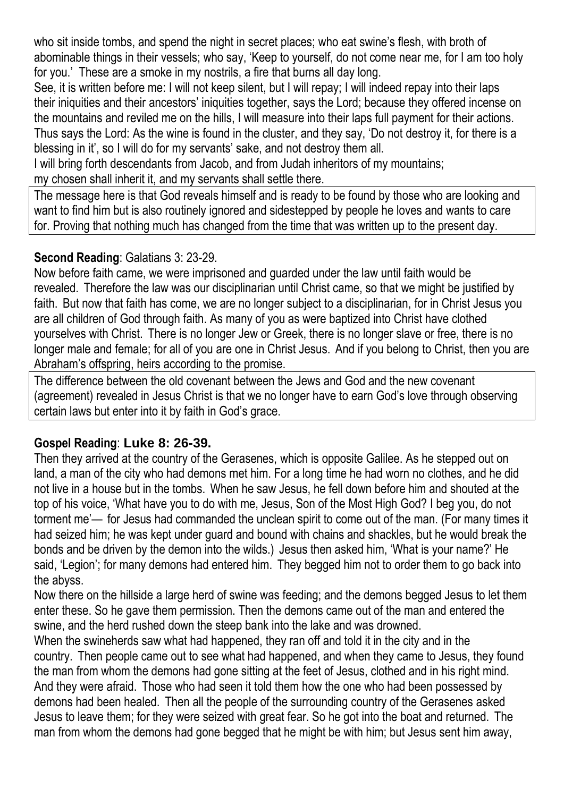who sit inside tombs, and spend the night in secret places; who eat swine's flesh, with broth of abominable things in their vessels; who say, 'Keep to yourself, do not come near me, for I am too holy for you.' These are a smoke in my nostrils, a fire that burns all day long.

See, it is written before me: I will not keep silent, but I will repay; I will indeed repay into their laps their iniquities and their ancestors' iniquities together, says the Lord; because they offered incense on the mountains and reviled me on the hills, I will measure into their laps full payment for their actions. Thus says the Lord: As the wine is found in the cluster, and they say, 'Do not destroy it, for there is a blessing in it', so I will do for my servants' sake, and not destroy them all.

I will bring forth descendants from Jacob, and from Judah inheritors of my mountains;

my chosen shall inherit it, and my servants shall settle there.

The message here is that God reveals himself and is ready to be found by those who are looking and want to find him but is also routinely ignored and sidestepped by people he loves and wants to care for. Proving that nothing much has changed from the time that was written up to the present day.

#### **Second Reading**: Galatians 3: 23-29.

Now before faith came, we were imprisoned and guarded under the law until faith would be revealed. Therefore the law was our disciplinarian until Christ came, so that we might be justified by faith. But now that faith has come, we are no longer subject to a disciplinarian, for in Christ Jesus you are all children of God through faith. As many of you as were baptized into Christ have clothed yourselves with Christ. There is no longer Jew or Greek, there is no longer slave or free, there is no longer male and female; for all of you are one in Christ Jesus. And if you belong to Christ, then you are Abraham's offspring, heirs according to the promise.

The difference between the old covenant between the Jews and God and the new covenant (agreement) revealed in Jesus Christ is that we no longer have to earn God's love through observing certain laws but enter into it by faith in God's grace.

### **Gospel Reading**: **Luke 8: 26-39.**

Then they arrived at the country of the Gerasenes, which is opposite Galilee. As he stepped out on land, a man of the city who had demons met him. For a long time he had worn no clothes, and he did not live in a house but in the tombs. When he saw Jesus, he fell down before him and shouted at the top of his voice, 'What have you to do with me, Jesus, Son of the Most High God? I beg you, do not torment me'— for Jesus had commanded the unclean spirit to come out of the man. (For many times it had seized him; he was kept under guard and bound with chains and shackles, but he would break the bonds and be driven by the demon into the wilds.) Jesus then asked him, 'What is your name?' He said, 'Legion'; for many demons had entered him. They begged him not to order them to go back into the abyss.

Now there on the hillside a large herd of swine was feeding; and the demons begged Jesus to let them enter these. So he gave them permission. Then the demons came out of the man and entered the swine, and the herd rushed down the steep bank into the lake and was drowned.

When the swineherds saw what had happened, they ran off and told it in the city and in the country. Then people came out to see what had happened, and when they came to Jesus, they found the man from whom the demons had gone sitting at the feet of Jesus, clothed and in his right mind. And they were afraid. Those who had seen it told them how the one who had been possessed by demons had been healed. Then all the people of the surrounding country of the Gerasenes asked Jesus to leave them; for they were seized with great fear. So he got into the boat and returned. The man from whom the demons had gone begged that he might be with him; but Jesus sent him away,